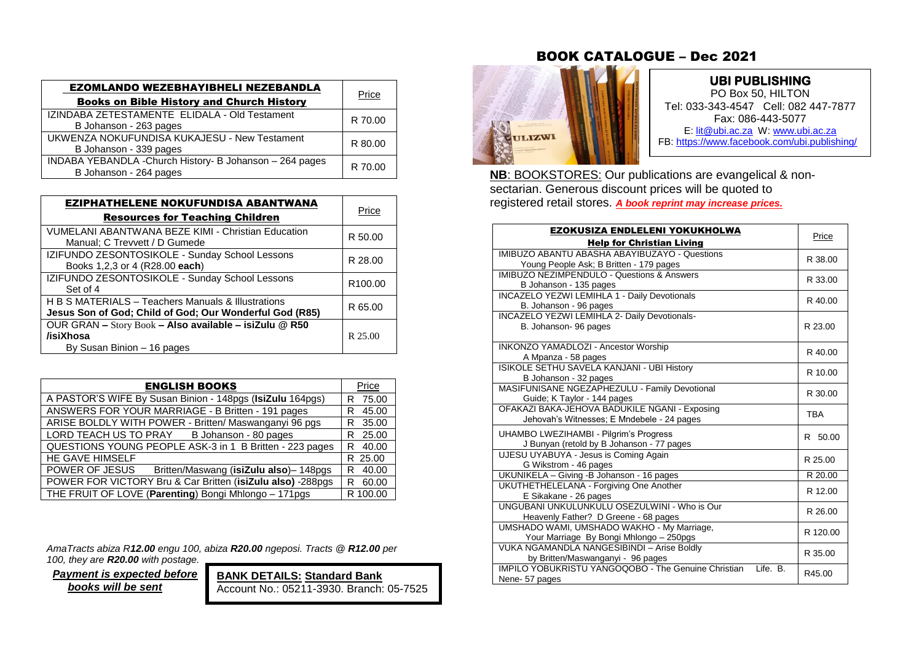| <b>EZOMLANDO WEZEBHAYIBHELI NEZEBANDLA</b><br><b>Books on Bible History and Church History</b> | Price   |
|------------------------------------------------------------------------------------------------|---------|
| IZINDABA ZETESTAMENTE ELIDALA - Old Testament<br>B Johanson - 263 pages                        | R 70.00 |
| UKWENZA NOKUFUNDISA KUKAJESU - New Testament<br>B Johanson - 339 pages                         | R 80.00 |
| INDABA YEBANDLA - Church History- B Johanson - 264 pages<br>B Johanson - 264 pages             | R 70.00 |

| EZIPHATHELENE NOKUFUNDISA ABANTWANA<br><b>Resources for Teaching Children</b>                                 | Price               |
|---------------------------------------------------------------------------------------------------------------|---------------------|
| VUMELANI ABANTWANA BEZE KIMI - Christian Education<br>Manual: C Trevvett / D Gumede                           | R 50.00             |
| IZIFUNDO ZESONTOSIKOLE - Sunday School Lessons<br>Books 1,2,3 or 4 (R28.00 each)                              | R 28.00             |
| IZIFUNDO ZESONTOSIKOLE - Sunday School Lessons<br>Set of 4                                                    | R <sub>100.00</sub> |
| H B S MATERIALS - Teachers Manuals & Illustrations<br>Jesus Son of God; Child of God; Our Wonderful God (R85) | R 65.00             |
| OUR GRAN - Story Book - Also available - isiZulu @ R50<br>/isiXhosa<br>By Susan Binion - 16 pages             | R 25.00             |

| <b>ENGLISH BOOKS</b>                                       | Price       |
|------------------------------------------------------------|-------------|
| A PASTOR'S WIFE By Susan Binion - 148pgs (IsiZulu 164pgs)  | R 75.00     |
| ANSWERS FOR YOUR MARRIAGE - B Britten - 191 pages          | 45.00<br>R. |
| ARISE BOLDLY WITH POWER - Britten/ Maswanganyi 96 pgs      | R 35.00     |
| LORD TEACH US TO PRAY B Johanson - 80 pages                | R 25.00     |
| QUESTIONS YOUNG PEOPLE ASK-3 in 1 B Britten - 223 pages    | 40.00<br>R  |
| HE GAVE HIMSELF                                            | R 25.00     |
| POWER OF JESUS<br>Britten/Maswang (isiZulu also)-148pgs    | 40.00<br>R. |
| POWER FOR VICTORY Bru & Car Britten (isiZulu also) -288pgs | 60.00<br>R. |
| THE FRUIT OF LOVE (Parenting) Bongi Mhlongo - 171pgs       | R 100.00    |

*AmaTracts abiza R12.00 engu 100, abiza R20.00 ngeposi. Tracts @ R12.00 per* 

*100, they are R20.00 with postage.*

 *Payment is expected before books will be sent*

**BANK DETAILS: Standard Bank** Account No.: 05211-3930. Branch: 05-7525

## BOOK CATALOGUE – Dec 2021



## **UBI PUBLISHING**

PO Box 50, HILTON Tel: 033-343-4547 Cell: 082 447-7877 Fax: 086-443-5077 E[: lit@ubi.ac.za](mailto:lit@ubi.ac.za) W: [www.ubi.ac.za](http://www.ubi.ac.za/) FB[: https://www.facebook.com/ubi.publishing/](https://www.facebook.com/ubi.publishing/)

Ī  **NB**: BOOKSTORES: Our publications are evangelical & non sectarian. Generous discount prices will be quoted to registered retail stores. *A book reprint may increase prices.*

 $\overline{\phantom{a}}$ 

| EZOKUSIZA ENDLELENI YOKUKHOLWA                                                               | Price      |
|----------------------------------------------------------------------------------------------|------------|
| <b>Help for Christian Living</b>                                                             |            |
| IMIBUZO ABANTU ABASHA ABAYIBUZAYO - Questions                                                | R 38.00    |
| Young People Ask; B Britten - 179 pages                                                      |            |
| <b>IMIBUZO NEZIMPENDULO - Questions &amp; Answers</b>                                        | R 33.00    |
| B Johanson - 135 pages                                                                       |            |
| <b>INCAZELO YEZWI LEMIHLA 1 - Daily Devotionals</b><br>B. Johanson - 96 pages                | R 40.00    |
| INCAZELO YEZWI LEMIHLA 2- Daily Devotionals-                                                 |            |
| B. Johanson- 96 pages                                                                        | R 23.00    |
|                                                                                              |            |
| <b>INKONZO YAMADLOZI - Ancestor Worship</b>                                                  | R 40.00    |
| A Mpanza - 58 pages                                                                          |            |
| ISIKOLE SETHU SAVELA KANJANI - UBI History                                                   | R 10.00    |
| B Johanson - 32 pages                                                                        |            |
| MASIFUNISANE NGEZAPHEZULU - Family Devotional                                                | R 30.00    |
| Guide; K Taylor - 144 pages                                                                  |            |
| OFAKAZI BAKA-JEHOVA BADUKILE NGANI - Exposing<br>Jehovah's Witnesses; E Mndebele - 24 pages  | <b>TBA</b> |
|                                                                                              |            |
| UHAMBO LWEZIHAMBI - Pilgrim's Progress                                                       | R 50.00    |
| J Bunyan (retold by B Johanson - 77 pages                                                    |            |
| UJESU UYABUYA - Jesus is Coming Again                                                        | R 25.00    |
| G Wikstrom - 46 pages                                                                        |            |
| UKUNIKELA - Giving - B Johanson - 16 pages                                                   | R 20.00    |
| UKUTHETHELELANA - Forgiving One Another                                                      | R 12.00    |
| E Sikakane - 26 pages                                                                        |            |
| UNGUBANI UNKULUNKULU OSEZULWINI - Who is Our                                                 | R 26.00    |
| Heavenly Father? D Greene - 68 pages                                                         |            |
| UMSHADO WAMI, UMSHADO WAKHO - My Marriage,                                                   | R 120.00   |
| Your Marriage By Bongi Mhlongo - 250pgs<br><b>VUKA NGAMANDLA NANGESIBINDI - Arise Boldly</b> |            |
| by Britten/Maswanganyi - 96 pages                                                            | R 35.00    |
| <b>IMPILO YOBUKRISTU YANGOQOBO - The Genuine Christian</b><br>Life. B.                       |            |
| Nene-57 pages                                                                                | R45.00     |